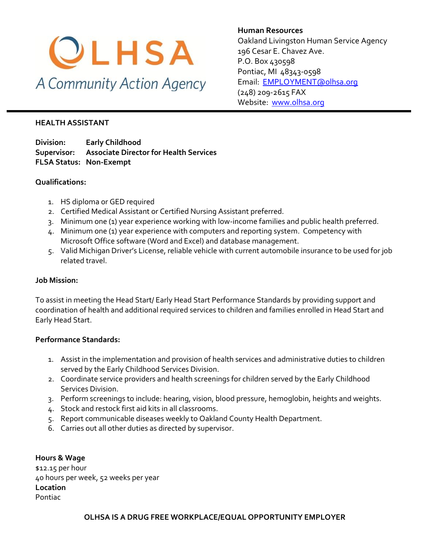

**Human Resources** Oakland Livingston Human Service Agency 196 Cesar E. Chavez Ave. P.O. Box 430598 Pontiac, MI 48343-0598 [Email: EMPLOYMENT@olhsa.org](mailto:JamilaT@olhsa.org) (248) 209-2615 FAX Website: [www.olhsa.org](http://www.olhsa.org/)

#### **HEALTH ASSISTANT**

**Division: Early Childhood Supervisor: Associate Director for Health Services FLSA Status: Non-Exempt**

# **Qualifications:**

- 1. HS diploma or GED required
- 2. Certified Medical Assistant or Certified Nursing Assistant preferred.
- 3. Minimum one (1) year experience working with low-income families and public health preferred.
- 4. Minimum one (1) year experience with computers and reporting system. Competency with Microsoft Office software (Word and Excel) and database management.
- 5. Valid Michigan Driver's License, reliable vehicle with current automobile insurance to be used for job related travel.

### **Job Mission:**

To assist in meeting the Head Start/ Early Head Start Performance Standards by providing support and coordination of health and additional required services to children and families enrolled in Head Start and Early Head Start.

# **Performance Standards:**

- 1. Assist in the implementation and provision of health services and administrative duties to children served by the Early Childhood Services Division.
- 2. Coordinate service providers and health screenings for children served by the Early Childhood Services Division.
- 3. Perform screenings to include: hearing, vision, blood pressure, hemoglobin, heights and weights.
- 4. Stock and restock first aid kits in all classrooms.
- 5. Report communicable diseases weekly to Oakland County Health Department.
- 6. Carries out all other duties as directed by supervisor.

**Hours & Wage** \$12.15 per hour 40 hours per week, 52 weeks per year **Location** Pontiac

**OLHSA IS A DRUG FREE WORKPLACE/EQUAL OPPORTUNITY EMPLOYER**